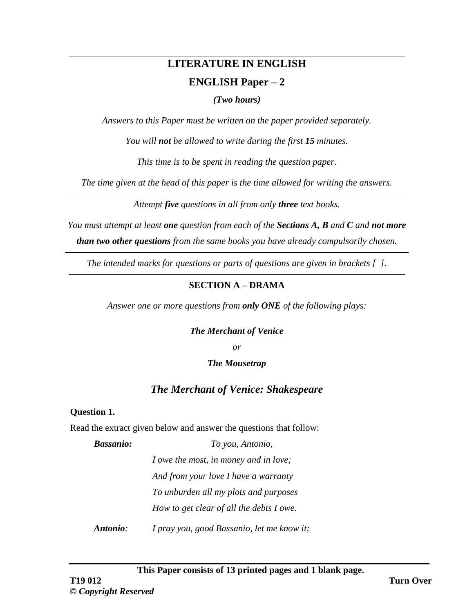# **LITERATURE IN ENGLISH ENGLISH Paper – 2**

*(Two hours)*

*Answers to this Paper must be written on the paper provided separately.*

*You will not be allowed to write during the first 15 minutes.*

*This time is to be spent in reading the question paper.*

*The time given at the head of this paper is the time allowed for writing the answers.*

*Attempt five questions in all from only three text books.*

*You must attempt at least one question from each of the Sections A, B and C and not more than two other questions from the same books you have already compulsorily chosen.*

*The intended marks for questions or parts of questions are given in brackets [ ].*

# **SECTION A – DRAMA**

*Answer one or more questions from only ONE of the following plays:*

## *The Merchant of Venice*

*or* 

## *The Mousetrap*

# *The Merchant of Venice: Shakespeare*

## **Question 1.**

Read the extract given below and answer the questions that follow:

*Bassanio: To you, Antonio,* 

*I owe the most, in money and in love;*

*And from your love I have a warranty*

*To unburden all my plots and purposes*

*How to get clear of all the debts I owe.*

*Antonio: I pray you, good Bassanio, let me know it;*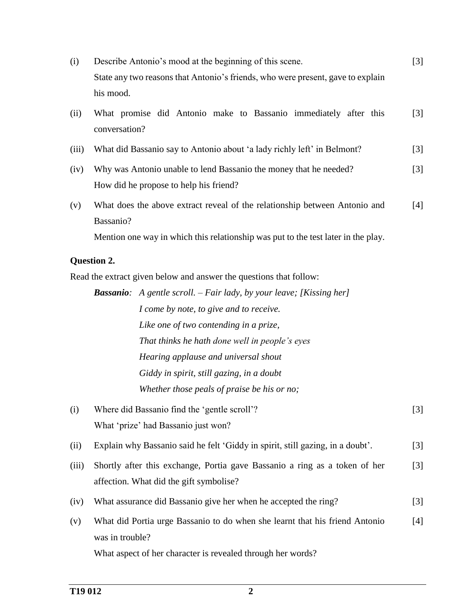| (i)   | Describe Antonio's mood at the beginning of this scene.                                                     | $[3]$ |
|-------|-------------------------------------------------------------------------------------------------------------|-------|
|       | State any two reasons that Antonio's friends, who were present, gave to explain<br>his mood.                |       |
| (ii)  | What promise did Antonio make to Bassanio immediately after this<br>conversation?                           | $[3]$ |
| (iii) | What did Bassanio say to Antonio about 'a lady richly left' in Belmont?                                     | $[3]$ |
| (iv)  | Why was Antonio unable to lend Bassanio the money that he needed?<br>How did he propose to help his friend? | $[3]$ |
| (v)   | What does the above extract reveal of the relationship between Antonio and<br>Bassanio?                     | $[4]$ |
|       | Mention one way in which this relationship was put to the test later in the play.                           |       |
|       | <b>Question 2.</b>                                                                                          |       |
|       | Read the extract given below and answer the questions that follow:                                          |       |
|       | <b>Bassanio</b> : A gentle scroll. $-Fair$ lady, by your leave; [Kissing her]                               |       |
|       | I come by note, to give and to receive.                                                                     |       |
|       | Like one of two contending in a prize,                                                                      |       |
|       | That thinks he hath done well in people's eyes                                                              |       |
|       | Hearing applause and universal shout                                                                        |       |
|       | Giddy in spirit, still gazing, in a doubt                                                                   |       |
|       | Whether those peals of praise be his or no;                                                                 |       |
| (i)   | Where did Bassanio find the 'gentle scroll'?                                                                | $[3]$ |
|       | What 'prize' had Bassanio just won?                                                                         |       |
| (ii)  | Explain why Bassanio said he felt 'Giddy in spirit, still gazing, in a doubt'.                              | $[3]$ |
| (iii) | Shortly after this exchange, Portia gave Bassanio a ring as a token of her                                  | $[3]$ |
|       | affection. What did the gift symbolise?                                                                     |       |
| (iv)  | What assurance did Bassanio give her when he accepted the ring?                                             | $[3]$ |
| (v)   | What did Portia urge Bassanio to do when she learnt that his friend Antonio<br>was in trouble?              | $[4]$ |
|       | What aspect of her character is revealed through her words?                                                 |       |
|       |                                                                                                             |       |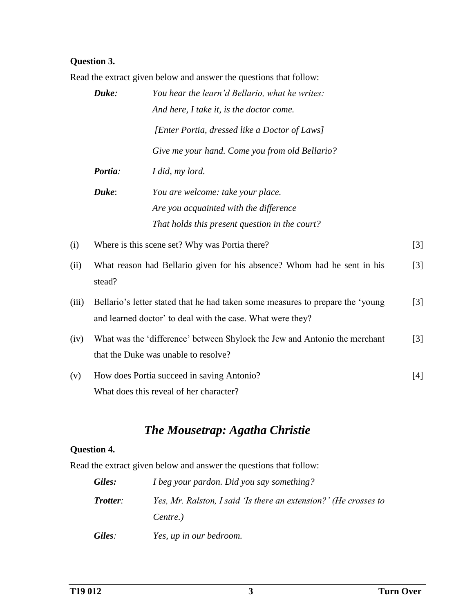# **Question 3.**

Read the extract given below and answer the questions that follow:

|       | Duke:   | You hear the learn'd Bellario, what he writes:                                                                                               |                   |
|-------|---------|----------------------------------------------------------------------------------------------------------------------------------------------|-------------------|
|       |         | And here, I take it, is the doctor come.                                                                                                     |                   |
|       |         | [Enter Portia, dressed like a Doctor of Laws]                                                                                                |                   |
|       |         | Give me your hand. Come you from old Bellario?                                                                                               |                   |
|       | Portia: | I did, my lord.                                                                                                                              |                   |
|       | Duke:   | You are welcome: take your place.                                                                                                            |                   |
|       |         | Are you acquainted with the difference                                                                                                       |                   |
|       |         | That holds this present question in the court?                                                                                               |                   |
| (i)   |         | Where is this scene set? Why was Portia there?                                                                                               | $[3]$             |
| (ii)  | stead?  | What reason had Bellario given for his absence? Whom had he sent in his                                                                      | $\lceil 3 \rceil$ |
| (iii) |         | Bellario's letter stated that he had taken some measures to prepare the 'young<br>and learned doctor' to deal with the case. What were they? | $[3]$             |
| (iv)  |         | What was the 'difference' between Shylock the Jew and Antonio the merchant<br>that the Duke was unable to resolve?                           | $\lceil 3 \rceil$ |
| (v)   |         | How does Portia succeed in saving Antonio?<br>What does this reveal of her character?                                                        | $[4]$             |

# *The Mousetrap: Agatha Christie*

# **Question 4.**

Read the extract given below and answer the questions that follow:

| Giles:   | I beg your pardon. Did you say something?                        |
|----------|------------------------------------------------------------------|
| Trotter: | Yes, Mr. Ralston, I said 'Is there an extension?' (He crosses to |
|          | Centre.)                                                         |
| Giles:   | Yes, up in our bedroom.                                          |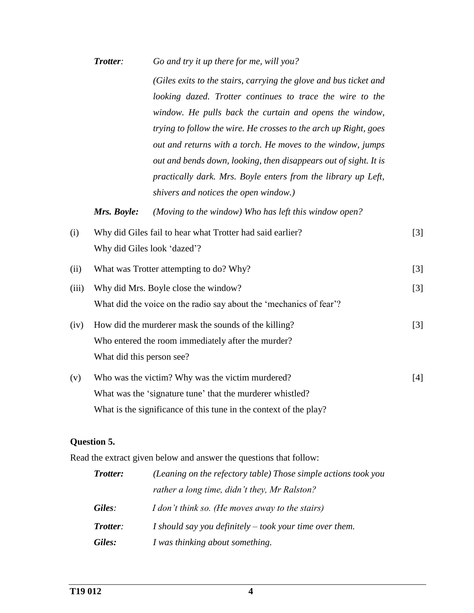*Trotter: Go and try it up there for me, will you?*

*(Giles exits to the stairs, carrying the glove and bus ticket and looking dazed. Trotter continues to trace the wire to the window. He pulls back the curtain and opens the window, trying to follow the wire. He crosses to the arch up Right, goes out and returns with a torch. He moves to the window, jumps out and bends down, looking, then disappears out of sight. It is practically dark. Mrs. Boyle enters from the library up Left, shivers and notices the open window.)*

*Mrs. Boyle: (Moving to the window) Who has left this window open?*

- (i) Why did Giles fail to hear what Trotter had said earlier? Why did Giles look 'dazed'? [3]
- (ii) What was Trotter attempting to do? Why? [3]
- (iii) Why did Mrs. Boyle close the window? What did the voice on the radio say about the 'mechanics of fear'? [3]
- (iv) How did the murderer mask the sounds of the killing? Who entered the room immediately after the murder? What did this person see? [3]
- (v) Who was the victim? Why was the victim murdered? What was the 'signature tune' that the murderer whistled? What is the significance of this tune in the context of the play? [4]

## **Question 5.**

Read the extract given below and answer the questions that follow:

| <b>Trotter:</b> | (Leaning on the refectory table) Those simple actions took you |
|-----------------|----------------------------------------------------------------|
|                 | rather a long time, didn't they, Mr Ralston?                   |
| Giles:          | I don't think so. (He moves away to the stairs)                |
| Trotter:        | I should say you definitely $-$ took your time over them.      |
| Giles:          | I was thinking about something.                                |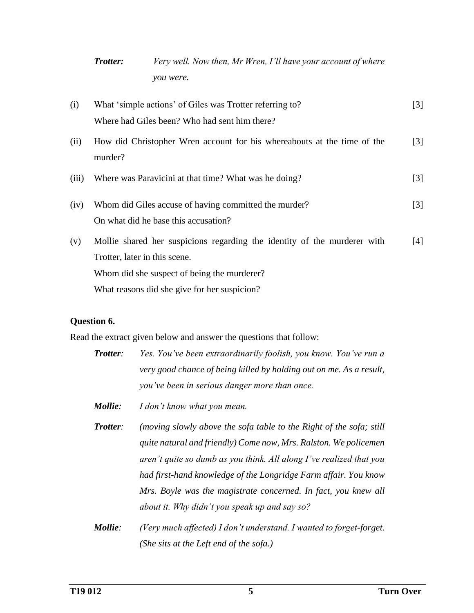| <b>Trotter:</b> | Very well. Now then, Mr Wren, I'll have your account of where |
|-----------------|---------------------------------------------------------------|
|                 | <i>vou were.</i>                                              |

| (i)   | What 'simple actions' of Giles was Trotter referring to?                           | $[3]$             |
|-------|------------------------------------------------------------------------------------|-------------------|
|       | Where had Giles been? Who had sent him there?                                      |                   |
| (ii)  | How did Christopher Wren account for his whereabouts at the time of the<br>murder? | $\lceil 3 \rceil$ |
| (iii) | Where was Paravicini at that time? What was he doing?                              | $[3]$             |
| (iv)  | Whom did Giles accuse of having committed the murder?                              | $[3]$             |
|       | On what did he base this accusation?                                               |                   |
| (v)   | Mollie shared her suspicions regarding the identity of the murderer with           | [4]               |
|       | Trotter, later in this scene.                                                      |                   |
|       | Whom did she suspect of being the murderer?                                        |                   |
|       | What reasons did she give for her suspicion?                                       |                   |

#### **Question 6.**

Read the extract given below and answer the questions that follow:

- *Trotter: Yes. You've been extraordinarily foolish, you know. You've run a very good chance of being killed by holding out on me. As a result, you've been in serious danger more than once.*
- *Mollie: I don't know what you mean.*
- *Trotter: (moving slowly above the sofa table to the Right of the sofa; still quite natural and friendly) Come now, Mrs. Ralston. We policemen aren't quite so dumb as you think. All along I've realized that you had first-hand knowledge of the Longridge Farm affair. You know Mrs. Boyle was the magistrate concerned. In fact, you knew all about it. Why didn't you speak up and say so?*
- *Mollie: (Very much affected) I don't understand. I wanted to forget-forget. (She sits at the Left end of the sofa.)*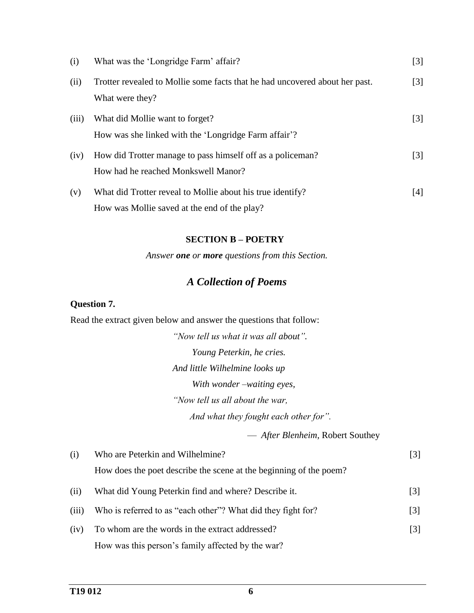| (i)   | What was the 'Longridge Farm' affair?                                                                      | $[3]$             |
|-------|------------------------------------------------------------------------------------------------------------|-------------------|
| (ii)  | Trotter revealed to Mollie some facts that he had uncovered about her past.<br>What were they?             | $\lceil 3 \rceil$ |
| (iii) | What did Mollie want to forget?<br>How was she linked with the 'Longridge Farm affair'?                    | $[3]$             |
| (iv)  | How did Trotter manage to pass himself off as a policeman?<br>How had he reached Monkswell Manor?          | $\lceil 3 \rceil$ |
| (v)   | What did Trotter reveal to Mollie about his true identify?<br>How was Mollie saved at the end of the play? | [4]               |

#### **SECTION B – POETRY**

*Answer one or more questions from this Section.*

# *A Collection of Poems*

# **Question 7.**

Read the extract given below and answer the questions that follow:

*"Now tell us what it was all about". Young Peterkin, he cries. And little Wilhelmine looks up With wonder –waiting eyes, "Now tell us all about the war, And what they fought each other for".*

— *After Blenheim,* Robert Southey

| (i)   | Who are Peterkin and Wilhelmine?                                   | [3]               |
|-------|--------------------------------------------------------------------|-------------------|
|       | How does the poet describe the scene at the beginning of the poem? |                   |
| (ii)  | What did Young Peterkin find and where? Describe it.               | $\lceil 3 \rceil$ |
| (iii) | Who is referred to as "each other"? What did they fight for?       | $[3]$             |
| (iv)  | To whom are the words in the extract addressed?                    | $\lceil 3 \rceil$ |
|       | How was this person's family affected by the war?                  |                   |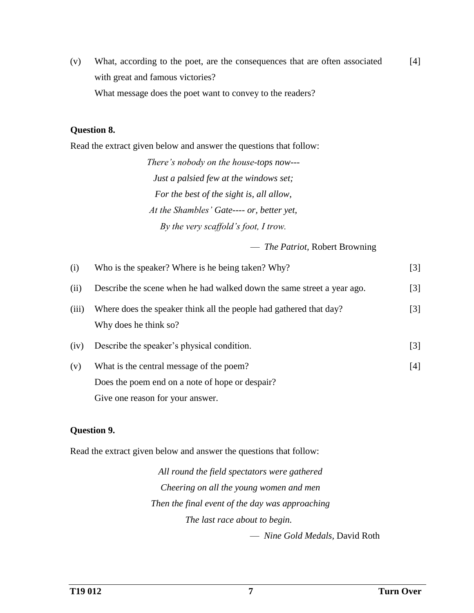(v) What, according to the poet, are the consequences that are often associated with great and famous victories? What message does the poet want to convey to the readers? [4]

#### **Question 8.**

Read the extract given below and answer the questions that follow:

*There's nobody on the house-tops now--- Just a palsied few at the windows set; For the best of the sight is, all allow, At the Shambles' Gate---- or, better yet, By the very scaffold's foot, I trow.*

— *The Patriot,* Robert Browning

| (i)   | Who is the speaker? Where is he being taken? Why?                                           | $[3]$             |
|-------|---------------------------------------------------------------------------------------------|-------------------|
| (ii)  | Describe the scene when he had walked down the same street a year ago.                      | $\lceil 3 \rceil$ |
| (iii) | Where does the speaker think all the people had gathered that day?<br>Why does he think so? | $\lceil 3 \rceil$ |
| (iv)  | Describe the speaker's physical condition.                                                  | $\lceil 3 \rceil$ |
| (v)   | What is the central message of the poem?                                                    | [4]               |
|       | Does the poem end on a note of hope or despair?                                             |                   |
|       | Give one reason for your answer.                                                            |                   |

## **Question 9.**

Read the extract given below and answer the questions that follow:

*All round the field spectators were gathered Cheering on all the young women and men Then the final event of the day was approaching The last race about to begin.* — *Nine Gold Medals,* David Roth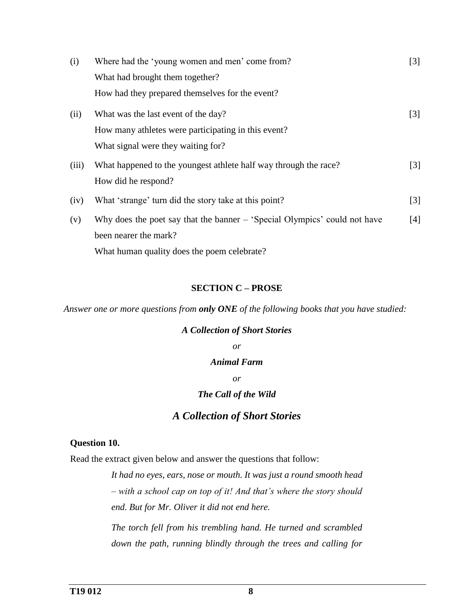| (i)   | Where had the 'young women and men' come from?                            | $[3]$             |
|-------|---------------------------------------------------------------------------|-------------------|
|       | What had brought them together?                                           |                   |
|       | How had they prepared themselves for the event?                           |                   |
| (ii)  | What was the last event of the day?                                       | $\lceil 3 \rceil$ |
|       | How many athletes were participating in this event?                       |                   |
|       | What signal were they waiting for?                                        |                   |
| (iii) | What happened to the youngest athlete half way through the race?          | $[3]$             |
|       | How did he respond?                                                       |                   |
| (iv)  | What 'strange' turn did the story take at this point?                     | $\lceil 3 \rceil$ |
| (v)   | Why does the poet say that the banner – 'Special Olympics' could not have | $[4]$             |
|       | been nearer the mark?                                                     |                   |
|       | What human quality does the poem celebrate?                               |                   |

#### **SECTION C – PROSE**

*Answer one or more questions from only ONE of the following books that you have studied:*

# *A Collection of Short Stories or Animal Farm or The Call of the Wild*

# *A Collection of Short Stories*

#### **Question 10.**

Read the extract given below and answer the questions that follow:

*It had no eyes, ears, nose or mouth. It was just a round smooth head – with a school cap on top of it! And that's where the story should end. But for Mr. Oliver it did not end here.*

*The torch fell from his trembling hand. He turned and scrambled down the path, running blindly through the trees and calling for*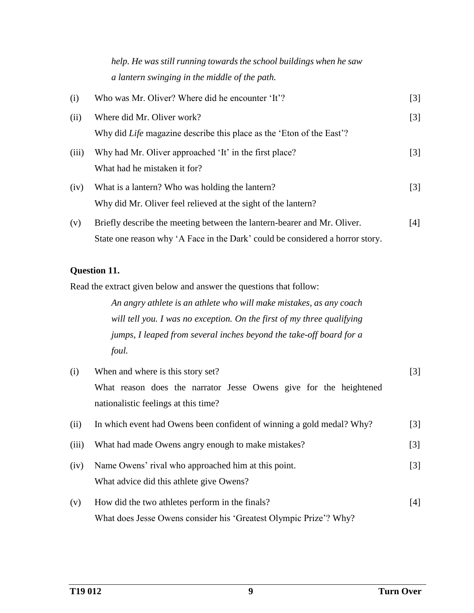*help. He was still running towards the school buildings when he saw a lantern swinging in the middle of the path.*

| (i)   | Who was Mr. Oliver? Where did he encounter 'It'?                              | $[3]$             |
|-------|-------------------------------------------------------------------------------|-------------------|
| (ii)  | Where did Mr. Oliver work?                                                    | $[3]$             |
|       | Why did <i>Life</i> magazine describe this place as the 'Eton of the East'?   |                   |
| (iii) | Why had Mr. Oliver approached 'It' in the first place?                        | $\lceil 3 \rceil$ |
|       | What had he mistaken it for?                                                  |                   |
| (iv)  | What is a lantern? Who was holding the lantern?                               | $\lceil 3 \rceil$ |
|       | Why did Mr. Oliver feel relieved at the sight of the lantern?                 |                   |
| (v)   | Briefly describe the meeting between the lantern-bearer and Mr. Oliver.       | [4]               |
|       | State one reason why 'A Face in the Dark' could be considered a horror story. |                   |

# **Question 11.**

Read the extract given below and answer the questions that follow:

*An angry athlete is an athlete who will make mistakes, as any coach will tell you. I was no exception. On the first of my three qualifying jumps, I leaped from several inches beyond the take-off board for a foul.*

| (i)   | When and where is this story set?                                     | $[3]$             |
|-------|-----------------------------------------------------------------------|-------------------|
|       | What reason does the narrator Jesse Owens give for the heightened     |                   |
|       | nationalistic feelings at this time?                                  |                   |
| (ii)  | In which event had Owens been confident of winning a gold medal? Why? | $\lceil 3 \rceil$ |
| (iii) | What had made Owens angry enough to make mistakes?                    | $[3]$             |
| (iv)  | Name Owens' rival who approached him at this point.                   | $\lceil 3 \rceil$ |
|       | What advice did this athlete give Owens?                              |                   |
| (v)   | How did the two athletes perform in the finals?                       | [4]               |
|       | What does Jesse Owens consider his 'Greatest Olympic Prize'? Why?     |                   |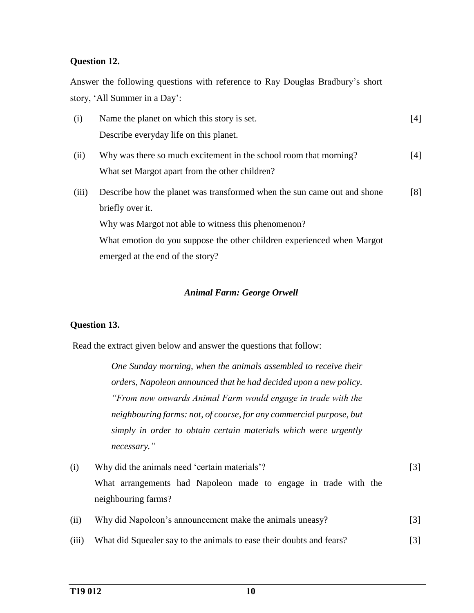### **Question 12.**

Answer the following questions with reference to Ray Douglas Bradbury's short story, 'All Summer in a Day':

| (i)   | Name the planet on which this story is set.                             | [4] |
|-------|-------------------------------------------------------------------------|-----|
|       | Describe everyday life on this planet.                                  |     |
| (ii)  | Why was there so much excitement in the school room that morning?       | [4] |
|       | What set Margot apart from the other children?                          |     |
| (iii) | Describe how the planet was transformed when the sun came out and shone | [8] |
|       | briefly over it.                                                        |     |
|       | Why was Margot not able to witness this phenomenon?                     |     |
|       | What emotion do you suppose the other children experienced when Margot  |     |
|       | emerged at the end of the story?                                        |     |

#### *Animal Farm: George Orwell*

#### **Question 13.**

Read the extract given below and answer the questions that follow:

*One Sunday morning, when the animals assembled to receive their orders, Napoleon announced that he had decided upon a new policy. "From now onwards Animal Farm would engage in trade with the neighbouring farms: not, of course, for any commercial purpose, but simply in order to obtain certain materials which were urgently necessary."*

- (i) Why did the animals need 'certain materials'? What arrangements had Napoleon made to engage in trade with the neighbouring farms? [3]
- (ii) Why did Napoleon's announcement make the animals uneasy? [3]
- (iii) What did Squealer say to the animals to ease their doubts and fears? [3]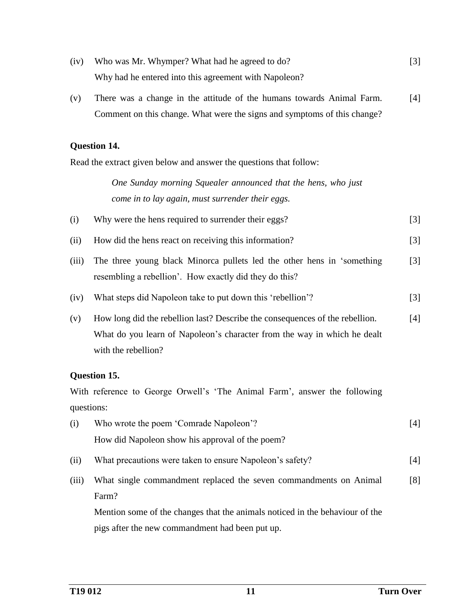- (iv) Who was Mr. Whymper? What had he agreed to do? Why had he entered into this agreement with Napoleon? [3]
- (v) There was a change in the attitude of the humans towards Animal Farm. Comment on this change. What were the signs and symptoms of this change? [4]

#### **Question 14.**

Read the extract given below and answer the questions that follow:

*One Sunday morning Squealer announced that the hens, who just come in to lay again, must surrender their eggs.*

| (i) | Why were the hens required to surrender their eggs? |  |
|-----|-----------------------------------------------------|--|
|     |                                                     |  |
|     |                                                     |  |

- (ii) How did the hens react on receiving this information? [3]
- (iii) The three young black Minorca pullets led the other hens in 'something resembling a rebellion'. How exactly did they do this? [3]
- (iv) What steps did Napoleon take to put down this 'rebellion'? [3]
- (v) How long did the rebellion last? Describe the consequences of the rebellion. What do you learn of Napoleon's character from the way in which he dealt with the rebellion?  $[4]$

## **Question 15.**

With reference to George Orwell's 'The Animal Farm', answer the following questions:

- (i) Who wrote the poem 'Comrade Napoleon'? How did Napoleon show his approval of the poem? [4] (ii) What precautions were taken to ensure Napoleon's safety? [4]
- (iii) What single commandment replaced the seven commandments on Animal Farm? [8]

Mention some of the changes that the animals noticed in the behaviour of the pigs after the new commandment had been put up.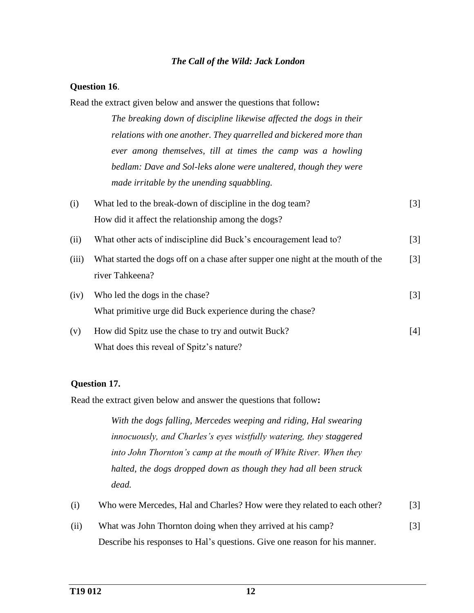#### *The Call of the Wild: Jack London*

#### **Question 16**.

Read the extract given below and answer the questions that follow**:**

*The breaking down of discipline likewise affected the dogs in their relations with one another. They quarrelled and bickered more than ever among themselves, till at times the camp was a howling bedlam: Dave and Sol-leks alone were unaltered, though they were made irritable by the unending squabbling.*

| (i)   | What led to the break-down of discipline in the dog team?                                          | $[3]$             |
|-------|----------------------------------------------------------------------------------------------------|-------------------|
|       | How did it affect the relationship among the dogs?                                                 |                   |
| (ii)  | What other acts of indiscipline did Buck's encouragement lead to?                                  | $\lceil 3 \rceil$ |
| (iii) | What started the dogs off on a chase after supper one night at the mouth of the<br>river Tahkeena? | $\lceil 3 \rceil$ |
| (iv)  | Who led the dogs in the chase?<br>What primitive urge did Buck experience during the chase?        | $\lceil 3 \rceil$ |
| (v)   | How did Spitz use the chase to try and outwit Buck?<br>What does this reveal of Spitz's nature?    | $[4]$             |

## **Question 17.**

Read the extract given below and answer the questions that follow**:**

*With the dogs falling, Mercedes weeping and riding, Hal swearing innocuously, and Charles's eyes wistfully watering, they staggered into John Thornton's camp at the mouth of White River. When they halted, the dogs dropped down as though they had all been struck dead.*

| (i)<br>Who were Mercedes, Hal and Charles? How were they related to each other? | $\lceil 3 \rceil$ |
|---------------------------------------------------------------------------------|-------------------|
|---------------------------------------------------------------------------------|-------------------|

(ii) What was John Thornton doing when they arrived at his camp? Describe his responses to Hal's questions. Give one reason for his manner. [3]